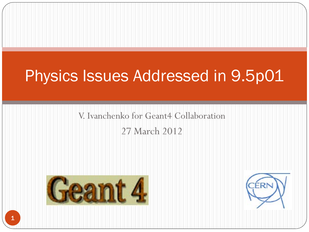## Physics Issues Addressed in 9.5p01

# V. Ivanchenko for Geant4 Collaboration

27 March 2012



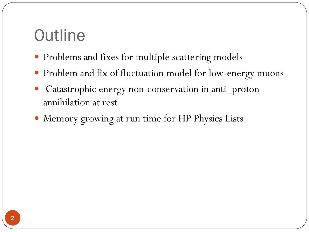### **Outline**

- Problems and fixes for multiple scattering models
- Problem and fix of fluctuation model for low-energy muons
- Catastrophic energy non-conservation in anti\_proton annihilation at rest
- Memory growing at run time for HP Physics Lists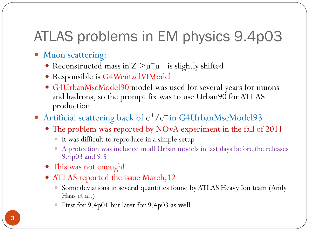#### ATLAS problems in EM physics 9.4p03

- Muon scattering:
	- Reconstructed mass in Z->µ+µ<sup>−</sup> is slightly shifted
	- Responsible is G4WentzelVIModel
	- G4UrbanMscModel90 model was used for several years for muons and hadrons, so the prompt fix was to use Urban90 for ATLAS production
- Artificial scattering back of e<sup>+</sup>/e<sup>-</sup> in G4UrbanMscModel93
	- The problem was reported by NOvA experiment in the fall of 2011
		- It was difficult to reproduce in a simple setup
		- A protection was included in all Urban models in last days before the releases 9.4p03 and 9.5
	- This was not enough!
	- ATLAS reported the issue March,12
		- Some deviations in several quantities found by ATLAS Heavy Ion team (Andy Haas et al.)
		- First for 9.4p01 but later for 9.4p03 as well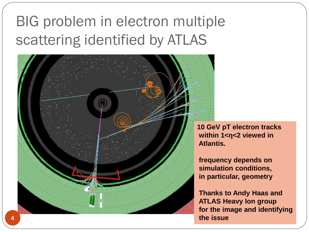## BIG problem in electron multiple scattering identified by ATLAS



**10 GeV pT electron tracks within 1<η<2 viewed in Atlantis.**

**frequency depends on simulation conditions, in particular, geometry** 

**Thanks to Andy Haas and ATLAS Heavy Ion group for the image and identifying the issue**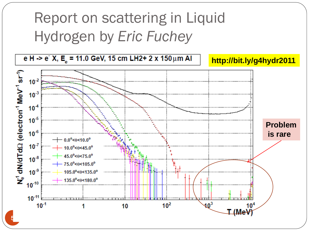## Report on scattering in Liquid Hydrogen by *Eric Fuchey*

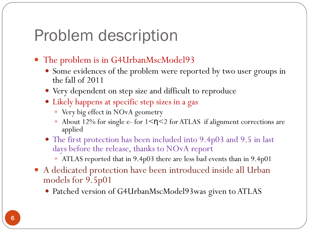#### Problem description

- The problem is in G4UrbanMscModel93
	- Some evidences of the problem were reported by two user groups in the fall of 2011
	- Very dependent on step size and difficult to reproduce
	- Likely happens at specific step sizes in a gas
		- Very big effect in NOvA geometry
		- About 12% for single e- for  $1 \leq \eta \leq 2$  for ATLAS if alignment corrections are applied
	- The first protection has been included into 9.4p03 and 9.5 in last days before the release, thanks to NOvA report
		- ATLAS reported that in 9.4p03 there are less bad events than in 9.4p01
- A dedicated protection have been introduced inside all Urban models for 9.5p01
	- Patched version of G4UrbanMscModel93was given to ATLAS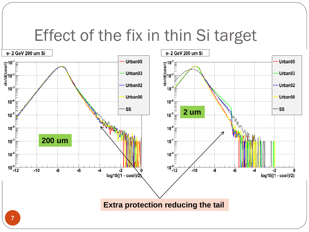#### Effect of the fix in thin Si target

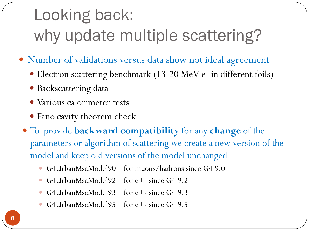# Looking back: why update multiple scattering?

- Number of validations versus data show not ideal agreement
	- Electron scattering benchmark (13-20 MeV e- in different foils)
	- Backscattering data
	- Various calorimeter tests
	- Fano cavity theorem check
	- To provide **backward compatibility** for any **change** of the parameters or algorithm of scattering we create a new version of the model and keep old versions of the model unchanged
		- G4UrbanMscModel90 for muons/hadrons since G4 9.0
		- G4UrbanMscModel92 for e<sup>+</sup>- since G4 9.2
		- G4UrbanMscModel93 for e+- since G4 9.3
		- G4UrbanMscModel95 for e+- since G4 9.5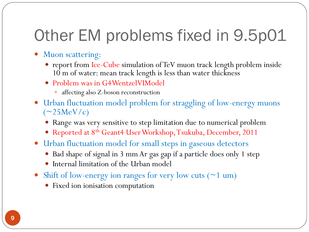## Other EM problems fixed in 9.5p01

- Muon scattering:
	- report from Ice-Cube simulation of TeV muon track length problem inside 10 m of water: mean track length is less than water thickness
	- Problem was in G4WentzelVIModel
		- affecting also Z-boson reconstruction
- Urban fluctuation model problem for straggling of low-energy muons  $(\sim 25 \text{MeV/c})$ 
	- Range was very sensitive to step limitation due to numerical problem
	- Reported at 8th Geant4 User Workshop, Tsukuba, December, 2011
- Urban fluctuation model for small steps in gaseous detectors
	- Bad shape of signal in 3 mm Ar gas gap if a particle does only 1 step
	- Internal limitation of the Urban model
- Shift of low-energy ion ranges for very low cuts  $(21 \text{ um})$ 
	- Fixed ion ionisation computation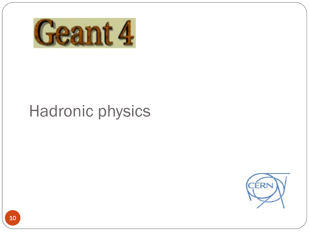

## Hadronic physics

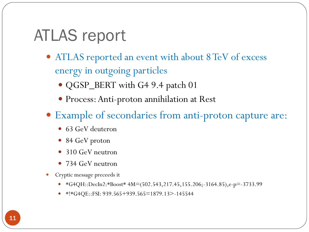## ATLAS report

- ATLAS reported an event with about 8 TeV of excess energy in outgoing particles
	- QGSP\_BERT with G4 9.4 patch 01
	- Process: Anti-proton annihilation at Rest
- Example of secondaries from anti-proton capture are:
	- 63 GeV deuteron
	- 84 GeV proton
	- 310 GeV neutron
	- 734 GeV neutron
- Cryptic message preceeds it
	- \*G4QH::DecIn2:\*Boost\* 4M=(502.543,217.45,155.206;-3164.85),e-p=-3733.99
	- \*!\*G4QE::FSI: 939.565+939.565=1879.13>-145544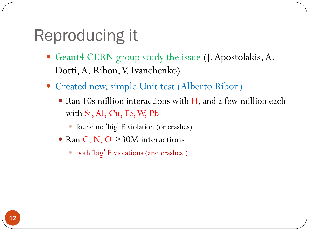## Reproducing it

- Geant4 CERN group study the issue (J. Apostolakis, A. Dotti, A. Ribon, V. Ivanchenko)
- Created new, simple Unit test (Alberto Ribon)
	- Ran 10s million interactions with H, and a few million each with Si, Al, Cu, Fe, W, Pb
		- found no 'big' E violation (or crashes)
	- Ran C, N, O  $>30M$  interactions
		- both 'big' E violations (and crashes!)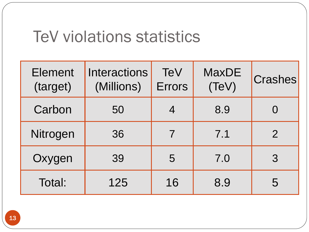#### TeV violations statistics

| <b>Element</b><br>(target) | <b>Interactions</b><br>(Millions) | <b>TeV</b><br><b>Errors</b> | <b>MaxDE</b><br>(TeV) | <b>Crashes</b> |
|----------------------------|-----------------------------------|-----------------------------|-----------------------|----------------|
| Carbon                     | 50                                | 4                           | 8.9                   |                |
| Nitrogen                   | 36                                | 7                           | 7.1                   | $\overline{2}$ |
| Oxygen                     | 39                                | 5                           | 7.0                   | 3              |
| Total:                     | 125                               | 16                          | 8.9                   | 5              |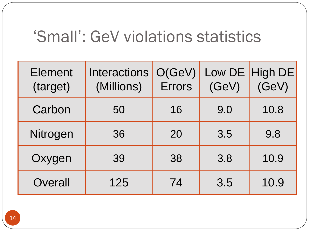#### 'Small': GeV violations statistics

| <b>Element</b><br>(target) | <b>Interactions</b><br>(Millions) | O(GeV)<br><b>Errors</b> | (GeV) | Low DE High DE<br>(GeV) |
|----------------------------|-----------------------------------|-------------------------|-------|-------------------------|
| Carbon                     | 50                                | 16                      | 9.0   | 10.8                    |
| Nitrogen                   | 36                                | 20                      | 3.5   | 9.8                     |
| Oxygen                     | 39                                | 38                      | 3.8   | 10.9                    |
| Overall                    | 125                               | 74                      | 3.5   | 10.9                    |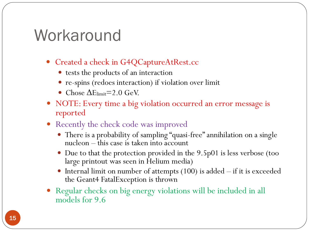#### Workaround

- Created a check in G4QCaptureAtRest.cc
	- tests the products of an interaction
	- re-spins (redoes interaction) if violation over limit
	- Chose  $\Delta$ Elimit=2.0 GeV.
- NOTE: Every time a big violation occurred an error message is reported
- Recently the check code was improved
	- There is a probability of sampling "quasi-free" annihilation on a single nucleon – this case is taken into account
	- Due to that the protection provided in the 9.5p01 is less verbose (too large printout was seen in Helium media)
	- Internal limit on number of attempts (100) is added if it is exceeded the Geant4 FatalException is thrown
- Regular checks on big energy violations will be included in all models for 9.6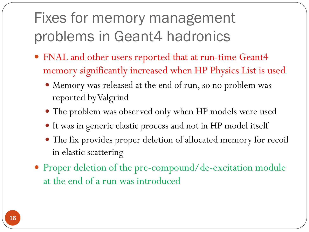## Fixes for memory management problems in Geant4 hadronics

- FNAL and other users reported that at run-time Geant4 memory significantly increased when HP Physics List is used
	- Memory was released at the end of run, so no problem was reported by Valgrind
	- The problem was observed only when HP models were used
	- It was in generic elastic process and not in HP model itself
	- The fix provides proper deletion of allocated memory for recoil in elastic scattering
- Proper deletion of the pre-compound/de-excitation module at the end of a run was introduced